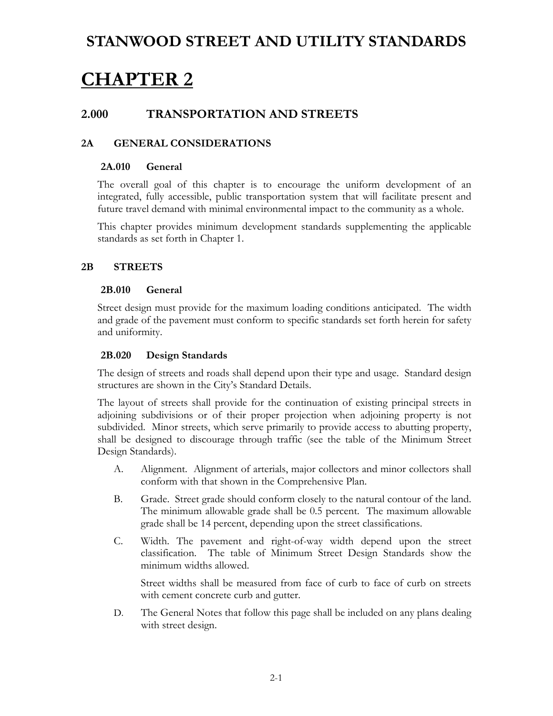# **CHAPTER 2**

### **2.000 TRANSPORTATION AND STREETS**

#### **2A GENERAL CONSIDERATIONS**

#### **2A.010 General**

The overall goal of this chapter is to encourage the uniform development of an integrated, fully accessible, public transportation system that will facilitate present and future travel demand with minimal environmental impact to the community as a whole.

This chapter provides minimum development standards supplementing the applicable standards as set forth in Chapter 1.

#### **2B STREETS**

#### **2B.010 General**

Street design must provide for the maximum loading conditions anticipated. The width and grade of the pavement must conform to specific standards set forth herein for safety and uniformity.

#### **2B.020 Design Standards**

The design of streets and roads shall depend upon their type and usage. Standard design structures are shown in the City's Standard Details.

The layout of streets shall provide for the continuation of existing principal streets in adjoining subdivisions or of their proper projection when adjoining property is not subdivided. Minor streets, which serve primarily to provide access to abutting property, shall be designed to discourage through traffic (see the table of the Minimum Street Design Standards).

- A. Alignment. Alignment of arterials, major collectors and minor collectors shall conform with that shown in the Comprehensive Plan.
- B. Grade. Street grade should conform closely to the natural contour of the land. The minimum allowable grade shall be 0.5 percent. The maximum allowable grade shall be 14 percent, depending upon the street classifications.
- C. Width. The pavement and right-of-way width depend upon the street classification. The table of Minimum Street Design Standards show the minimum widths allowed.

Street widths shall be measured from face of curb to face of curb on streets with cement concrete curb and gutter.

D. The General Notes that follow this page shall be included on any plans dealing with street design.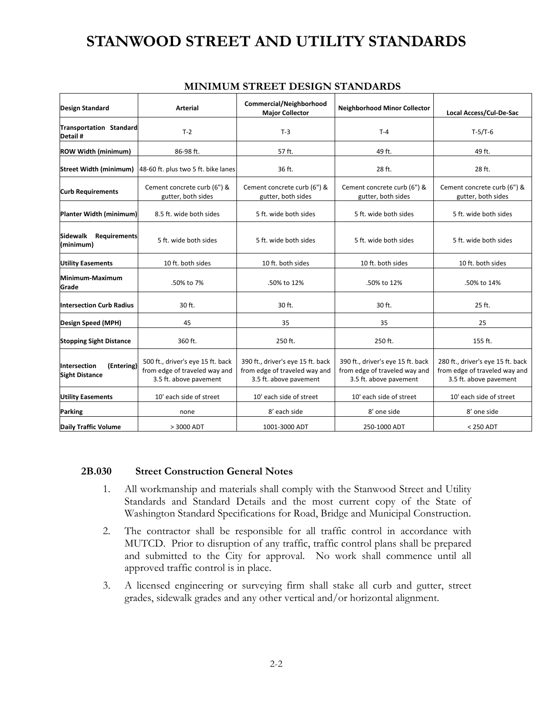| Design Standard                                     | <b>Arterial</b>                                                                              | Commercial/Neighborhood<br><b>Major Collector</b>                                            | <b>Neighborhood Minor Collector</b>                                                          | Local Access/Cul-De-Sac                                                                      |
|-----------------------------------------------------|----------------------------------------------------------------------------------------------|----------------------------------------------------------------------------------------------|----------------------------------------------------------------------------------------------|----------------------------------------------------------------------------------------------|
| Transportation Standard<br>Detail #                 | $T-2$                                                                                        | $T-3$                                                                                        | $T-4$                                                                                        | $T-5/T-6$                                                                                    |
| <b>ROW Width (minimum)</b>                          | 86-98 ft.                                                                                    | 57 ft.                                                                                       | 49 ft.                                                                                       | 49 ft.                                                                                       |
| <b>Street Width (minimum)</b>                       | 48-60 ft. plus two 5 ft. bike lanes                                                          | 36 ft.                                                                                       | 28 ft.                                                                                       | 28 ft.                                                                                       |
| <b>Curb Requirements</b>                            | Cement concrete curb (6") &<br>gutter, both sides                                            | Cement concrete curb (6") &<br>gutter, both sides                                            | Cement concrete curb (6") &<br>gutter, both sides                                            | Cement concrete curb (6") &<br>gutter, both sides                                            |
| Planter Width (minimum)                             | 8.5 ft. wide both sides                                                                      | 5 ft. wide both sides                                                                        | 5 ft. wide both sides                                                                        | 5 ft. wide both sides                                                                        |
| <b>Sidewalk</b><br><b>Requirements</b><br>(minimum) | 5 ft. wide both sides                                                                        | 5 ft. wide both sides                                                                        | 5 ft. wide both sides                                                                        | 5 ft. wide both sides                                                                        |
| <b>Utility Easements</b>                            | 10 ft. both sides                                                                            | 10 ft. both sides                                                                            | 10 ft. both sides                                                                            | 10 ft. both sides                                                                            |
| Minimum-Maximum<br>Grade                            | .50% to 7%                                                                                   | .50% to 12%                                                                                  | .50% to 12%                                                                                  | .50% to 14%                                                                                  |
| <b>Intersection Curb Radius</b>                     | 30 ft.                                                                                       | 30 ft.                                                                                       | 30 ft.                                                                                       | 25 ft.                                                                                       |
| Design Speed (MPH)                                  | 45                                                                                           | 35                                                                                           | 35                                                                                           | 25                                                                                           |
| <b>Stopping Sight Distance</b>                      | 360 ft.                                                                                      | 250 ft.                                                                                      | 250 ft.                                                                                      | 155 ft.                                                                                      |
| Intersection<br>(Entering)<br><b>Sight Distance</b> | 500 ft., driver's eye 15 ft. back<br>from edge of traveled way and<br>3.5 ft. above pavement | 390 ft., driver's eye 15 ft. back<br>from edge of traveled way and<br>3.5 ft. above pavement | 390 ft., driver's eye 15 ft. back<br>from edge of traveled way and<br>3.5 ft. above pavement | 280 ft., driver's eye 15 ft. back<br>from edge of traveled way and<br>3.5 ft. above pavement |
| <b>Utility Easements</b>                            | 10' each side of street                                                                      | 10' each side of street                                                                      | 10' each side of street                                                                      | 10' each side of street                                                                      |
| <b>Parking</b>                                      | none                                                                                         | 8' each side                                                                                 | 8' one side                                                                                  | 8' one side                                                                                  |
| <b>Daily Traffic Volume</b>                         | > 3000 ADT                                                                                   | 1001-3000 ADT                                                                                | 250-1000 ADT                                                                                 | $< 250$ ADT                                                                                  |

#### **MINIMUM STREET DESIGN STANDARDS**

#### **2B.030 Street Construction General Notes**

- 1. All workmanship and materials shall comply with the Stanwood Street and Utility Standards and Standard Details and the most current copy of the State of Washington Standard Specifications for Road, Bridge and Municipal Construction.
- 2. The contractor shall be responsible for all traffic control in accordance with MUTCD. Prior to disruption of any traffic, traffic control plans shall be prepared and submitted to the City for approval. No work shall commence until all approved traffic control is in place.
- 3. A licensed engineering or surveying firm shall stake all curb and gutter, street grades, sidewalk grades and any other vertical and/or horizontal alignment.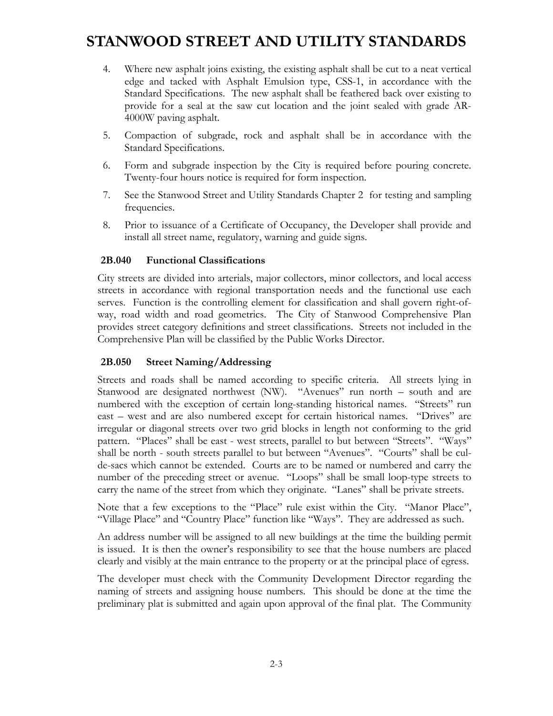- 4. Where new asphalt joins existing, the existing asphalt shall be cut to a neat vertical edge and tacked with Asphalt Emulsion type, CSS-1, in accordance with the Standard Specifications. The new asphalt shall be feathered back over existing to provide for a seal at the saw cut location and the joint sealed with grade AR-4000W paving asphalt.
- 5. Compaction of subgrade, rock and asphalt shall be in accordance with the Standard Specifications.
- 6. Form and subgrade inspection by the City is required before pouring concrete. Twenty-four hours notice is required for form inspection.
- 7. See the Stanwood Street and Utility Standards Chapter 2 for testing and sampling frequencies.
- 8. Prior to issuance of a Certificate of Occupancy, the Developer shall provide and install all street name, regulatory, warning and guide signs.

#### **2B.040 Functional Classifications**

City streets are divided into arterials, major collectors, minor collectors, and local access streets in accordance with regional transportation needs and the functional use each serves. Function is the controlling element for classification and shall govern right-ofway, road width and road geometrics. The City of Stanwood Comprehensive Plan provides street category definitions and street classifications. Streets not included in the Comprehensive Plan will be classified by the Public Works Director.

#### **2B.050 Street Naming/Addressing**

Streets and roads shall be named according to specific criteria. All streets lying in Stanwood are designated northwest (NW). "Avenues" run north – south and are numbered with the exception of certain long-standing historical names. "Streets" run east – west and are also numbered except for certain historical names. "Drives" are irregular or diagonal streets over two grid blocks in length not conforming to the grid pattern. "Places" shall be east - west streets, parallel to but between "Streets". "Ways" shall be north - south streets parallel to but between "Avenues". "Courts" shall be culde-sacs which cannot be extended. Courts are to be named or numbered and carry the number of the preceding street or avenue. "Loops" shall be small loop-type streets to carry the name of the street from which they originate. "Lanes" shall be private streets.

Note that a few exceptions to the "Place" rule exist within the City. "Manor Place", "Village Place" and "Country Place" function like "Ways". They are addressed as such.

An address number will be assigned to all new buildings at the time the building permit is issued. It is then the owner's responsibility to see that the house numbers are placed clearly and visibly at the main entrance to the property or at the principal place of egress.

The developer must check with the Community Development Director regarding the naming of streets and assigning house numbers. This should be done at the time the preliminary plat is submitted and again upon approval of the final plat. The Community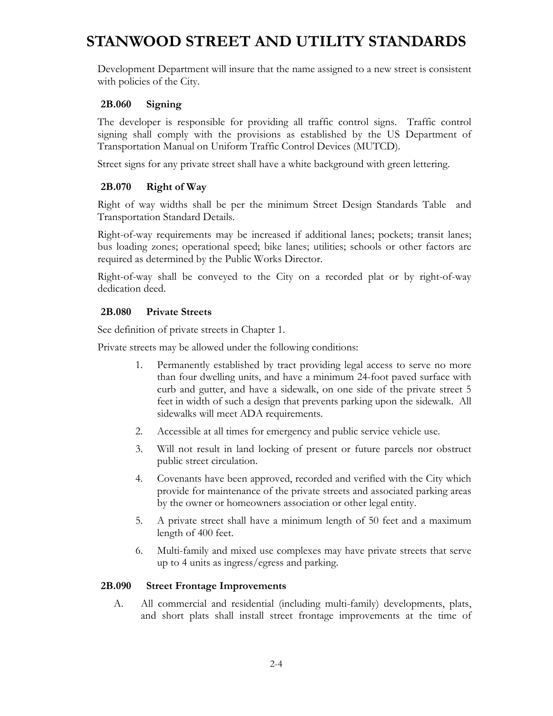Development Department will insure that the name assigned to a new street is consistent with policies of the City.

#### **2B.060 Signing**

The developer is responsible for providing all traffic control signs. Traffic control signing shall comply with the provisions as established by the US Department of Transportation Manual on Uniform Traffic Control Devices (MUTCD).

Street signs for any private street shall have a white background with green lettering.

#### **2B.070 Right of Way**

Right of way widths shall be per the minimum Street Design Standards Table and Transportation Standard Details.

Right-of-way requirements may be increased if additional lanes; pockets; transit lanes; bus loading zones; operational speed; bike lanes; utilities; schools or other factors are required as determined by the Public Works Director.

Right-of-way shall be conveyed to the City on a recorded plat or by right-of-way dedication deed.

#### **2B.080 Private Streets**

See definition of private streets in Chapter 1.

Private streets may be allowed under the following conditions:

- 1. Permanently established by tract providing legal access to serve no more than four dwelling units, and have a minimum 24-foot paved surface with curb and gutter, and have a sidewalk, on one side of the private street 5 feet in width of such a design that prevents parking upon the sidewalk. All sidewalks will meet ADA requirements.
- 2. Accessible at all times for emergency and public service vehicle use.
- 3. Will not result in land locking of present or future parcels nor obstruct public street circulation.
- 4. Covenants have been approved, recorded and verified with the City which provide for maintenance of the private streets and associated parking areas by the owner or homeowners association or other legal entity.
- 5. A private street shall have a minimum length of 50 feet and a maximum length of 400 feet.
- 6. Multi-family and mixed use complexes may have private streets that serve up to 4 units as ingress/egress and parking.

#### **2B.090 Street Frontage Improvements**

A. All commercial and residential (including multi-family) developments, plats, and short plats shall install street frontage improvements at the time of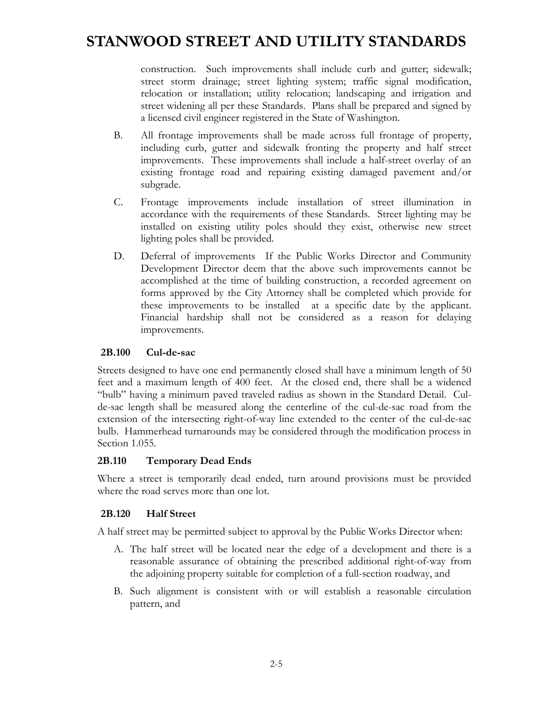construction. Such improvements shall include curb and gutter; sidewalk; street storm drainage; street lighting system; traffic signal modification, relocation or installation; utility relocation; landscaping and irrigation and street widening all per these Standards. Plans shall be prepared and signed by a licensed civil engineer registered in the State of Washington.

- B. All frontage improvements shall be made across full frontage of property, including curb, gutter and sidewalk fronting the property and half street improvements. These improvements shall include a half-street overlay of an existing frontage road and repairing existing damaged pavement and/or subgrade.
- C. Frontage improvements include installation of street illumination in accordance with the requirements of these Standards. Street lighting may be installed on existing utility poles should they exist, otherwise new street lighting poles shall be provided.
- D. Deferral of improvements If the Public Works Director and Community Development Director deem that the above such improvements cannot be accomplished at the time of building construction, a recorded agreement on forms approved by the City Attorney shall be completed which provide for these improvements to be installed at a specific date by the applicant. Financial hardship shall not be considered as a reason for delaying improvements.

#### **2B.100 Cul-de-sac**

Streets designed to have one end permanently closed shall have a minimum length of 50 feet and a maximum length of 400 feet. At the closed end, there shall be a widened "bulb" having a minimum paved traveled radius as shown in the Standard Detail. Culde-sac length shall be measured along the centerline of the cul-de-sac road from the extension of the intersecting right-of-way line extended to the center of the cul-de-sac bulb. Hammerhead turnarounds may be considered through the modification process in Section 1.055.

#### **2B.110 Temporary Dead Ends**

Where a street is temporarily dead ended, turn around provisions must be provided where the road serves more than one lot.

#### **2B.120 Half Street**

A half street may be permitted subject to approval by the Public Works Director when:

- A. The half street will be located near the edge of a development and there is a reasonable assurance of obtaining the prescribed additional right-of-way from the adjoining property suitable for completion of a full-section roadway, and
- B. Such alignment is consistent with or will establish a reasonable circulation pattern, and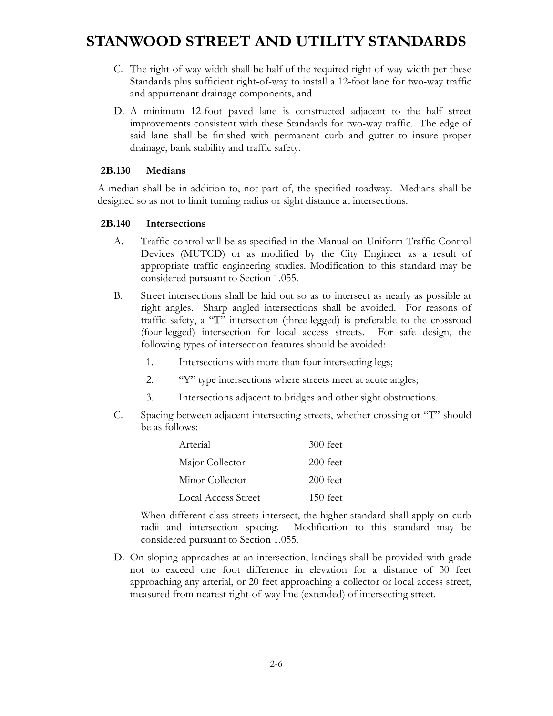- C. The right-of-way width shall be half of the required right-of-way width per these Standards plus sufficient right-of-way to install a 12-foot lane for two-way traffic and appurtenant drainage components, and
- D. A minimum 12-foot paved lane is constructed adjacent to the half street improvements consistent with these Standards for two-way traffic. The edge of said lane shall be finished with permanent curb and gutter to insure proper drainage, bank stability and traffic safety.

#### **2B.130 Medians**

A median shall be in addition to, not part of, the specified roadway. Medians shall be designed so as not to limit turning radius or sight distance at intersections.

#### **2B.140 Intersections**

- A. Traffic control will be as specified in the Manual on Uniform Traffic Control Devices (MUTCD) or as modified by the City Engineer as a result of appropriate traffic engineering studies. Modification to this standard may be considered pursuant to Section 1.055.
- B. Street intersections shall be laid out so as to intersect as nearly as possible at right angles. Sharp angled intersections shall be avoided. For reasons of traffic safety, a "T" intersection (three-legged) is preferable to the crossroad (four-legged) intersection for local access streets. For safe design, the following types of intersection features should be avoided:
	- 1. Intersections with more than four intersecting legs;
	- 2. "Y" type intersections where streets meet at acute angles;
	- 3. Intersections adjacent to bridges and other sight obstructions.
- C. Spacing between adjacent intersecting streets, whether crossing or "T" should be as follows:

| Arterial                   | 300 feet   |
|----------------------------|------------|
| Major Collector            | 200 feet   |
| Minor Collector            | $200$ feet |
| <b>Local Access Street</b> | $150$ feet |

 When different class streets intersect, the higher standard shall apply on curb radii and intersection spacing. Modification to this standard may be considered pursuant to Section 1.055.

D. On sloping approaches at an intersection, landings shall be provided with grade not to exceed one foot difference in elevation for a distance of 30 feet approaching any arterial, or 20 feet approaching a collector or local access street, measured from nearest right-of-way line (extended) of intersecting street.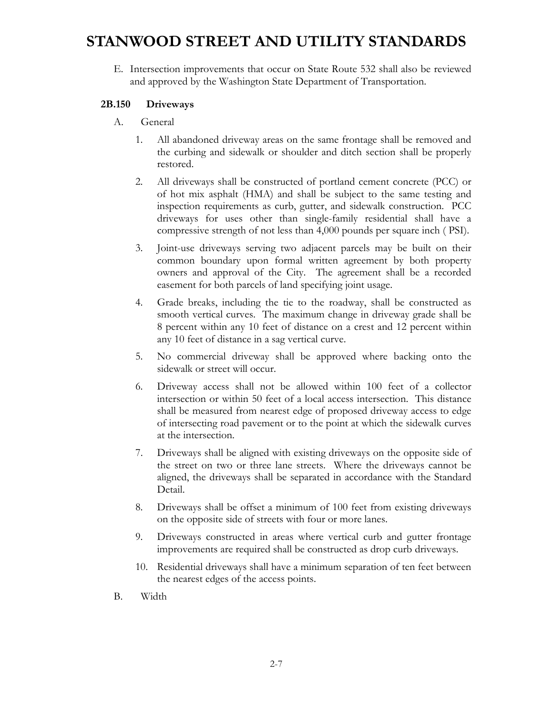E. Intersection improvements that occur on State Route 532 shall also be reviewed and approved by the Washington State Department of Transportation.

#### **2B.150 Driveways**

- A. General
	- 1. All abandoned driveway areas on the same frontage shall be removed and the curbing and sidewalk or shoulder and ditch section shall be properly restored.
	- 2. All driveways shall be constructed of portland cement concrete (PCC) or of hot mix asphalt (HMA) and shall be subject to the same testing and inspection requirements as curb, gutter, and sidewalk construction. PCC driveways for uses other than single-family residential shall have a compressive strength of not less than 4,000 pounds per square inch ( PSI).
	- 3. Joint-use driveways serving two adjacent parcels may be built on their common boundary upon formal written agreement by both property owners and approval of the City. The agreement shall be a recorded easement for both parcels of land specifying joint usage.
	- 4. Grade breaks, including the tie to the roadway, shall be constructed as smooth vertical curves. The maximum change in driveway grade shall be 8 percent within any 10 feet of distance on a crest and 12 percent within any 10 feet of distance in a sag vertical curve.
	- 5. No commercial driveway shall be approved where backing onto the sidewalk or street will occur.
	- 6. Driveway access shall not be allowed within 100 feet of a collector intersection or within 50 feet of a local access intersection. This distance shall be measured from nearest edge of proposed driveway access to edge of intersecting road pavement or to the point at which the sidewalk curves at the intersection.
	- 7. Driveways shall be aligned with existing driveways on the opposite side of the street on two or three lane streets. Where the driveways cannot be aligned, the driveways shall be separated in accordance with the Standard Detail.
	- 8. Driveways shall be offset a minimum of 100 feet from existing driveways on the opposite side of streets with four or more lanes.
	- 9. Driveways constructed in areas where vertical curb and gutter frontage improvements are required shall be constructed as drop curb driveways.
	- 10. Residential driveways shall have a minimum separation of ten feet between the nearest edges of the access points.
- B. Width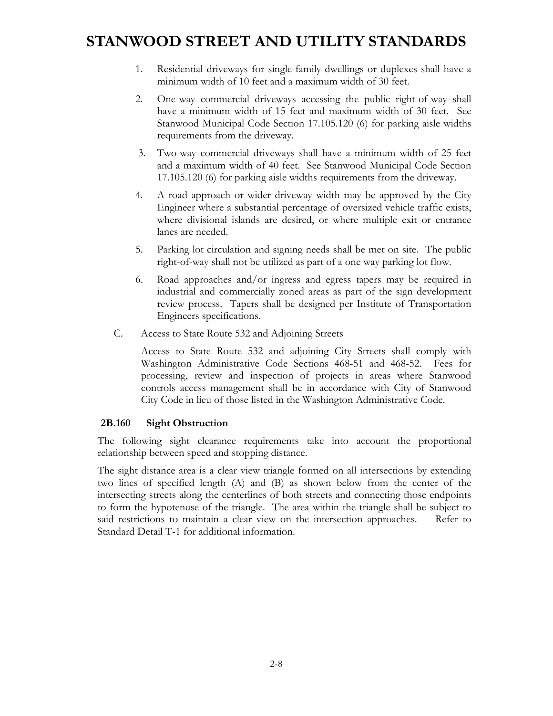- 1. Residential driveways for single-family dwellings or duplexes shall have a minimum width of 10 feet and a maximum width of 30 feet.
- 2. One-way commercial driveways accessing the public right-of-way shall have a minimum width of 15 feet and maximum width of 30 feet. See Stanwood Municipal Code Section 17.105.120 (6) for parking aisle widths requirements from the driveway.
- 3. Two-way commercial driveways shall have a minimum width of 25 feet and a maximum width of 40 feet. See Stanwood Municipal Code Section 17.105.120 (6) for parking aisle widths requirements from the driveway.
- 4. A road approach or wider driveway width may be approved by the City Engineer where a substantial percentage of oversized vehicle traffic exists, where divisional islands are desired, or where multiple exit or entrance lanes are needed.
- 5. Parking lot circulation and signing needs shall be met on site. The public right-of-way shall not be utilized as part of a one way parking lot flow.
- 6. Road approaches and/or ingress and egress tapers may be required in industrial and commercially zoned areas as part of the sign development review process. Tapers shall be designed per Institute of Transportation Engineers specifications.
- C. Access to State Route 532 and Adjoining Streets

Access to State Route 532 and adjoining City Streets shall comply with Washington Administrative Code Sections 468-51 and 468-52. Fees for processing, review and inspection of projects in areas where Stanwood controls access management shall be in accordance with City of Stanwood City Code in lieu of those listed in the Washington Administrative Code.

#### **2B.160 Sight Obstruction**

The following sight clearance requirements take into account the proportional relationship between speed and stopping distance.

The sight distance area is a clear view triangle formed on all intersections by extending two lines of specified length (A) and (B) as shown below from the center of the intersecting streets along the centerlines of both streets and connecting those endpoints to form the hypotenuse of the triangle. The area within the triangle shall be subject to said restrictions to maintain a clear view on the intersection approaches. Refer to Standard Detail T-1 for additional information.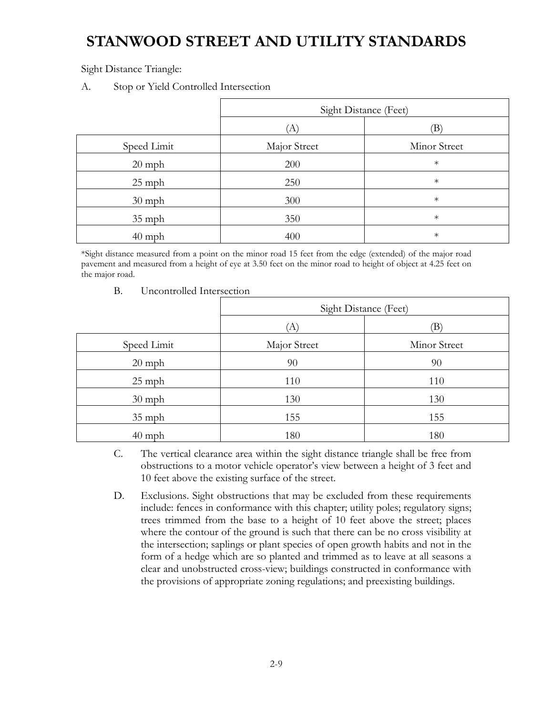Sight Distance Triangle:

A. Stop or Yield Controlled Intersection

|             | Sight Distance (Feet) |              |
|-------------|-----------------------|--------------|
|             | Ά                     | B)           |
| Speed Limit | Major Street          | Minor Street |
| $20$ mph    | 200                   | $\ast$       |
| $25$ mph    | 250                   | $\ast$       |
| $30$ mph    | 300                   | $\ast$       |
| $35$ mph    | 350                   | $\ast$       |
| $40$ mph    | 400                   | $\ast$       |

\*Sight distance measured from a point on the minor road 15 feet from the edge (extended) of the major road pavement and measured from a height of eye at 3.50 feet on the minor road to height of object at 4.25 feet on the major road.

- Sight Distance (Feet)  $(A)$  (B) Speed Limit Major Street Ninor Street 20 mph 90 90 90 25 mph 110 110 110 30 mph 130 130 130 35 mph 155 155 155 40 mph 180 180 180
- B. Uncontrolled Intersection

- C. The vertical clearance area within the sight distance triangle shall be free from obstructions to a motor vehicle operator's view between a height of 3 feet and 10 feet above the existing surface of the street.
- D. Exclusions. Sight obstructions that may be excluded from these requirements include: fences in conformance with this chapter; utility poles; regulatory signs; trees trimmed from the base to a height of 10 feet above the street; places where the contour of the ground is such that there can be no cross visibility at the intersection; saplings or plant species of open growth habits and not in the form of a hedge which are so planted and trimmed as to leave at all seasons a clear and unobstructed cross-view; buildings constructed in conformance with the provisions of appropriate zoning regulations; and preexisting buildings.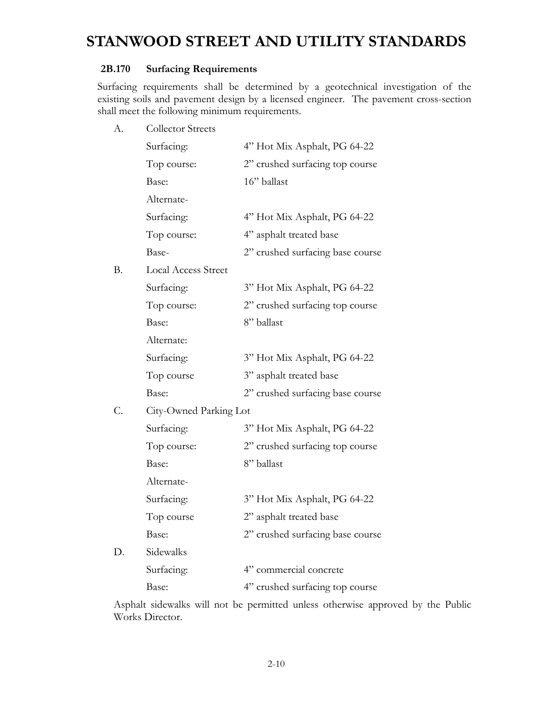#### **2B.170 Surfacing Requirements**

Surfacing requirements shall be determined by a geotechnical investigation of the existing soils and pavement design by a licensed engineer. The pavement cross-section shall meet the following minimum requirements.

A. Collector Streets

|           | Surfacing:                 | 4" Hot Mix Asphalt, PG 64-22     |
|-----------|----------------------------|----------------------------------|
|           | Top course:                | 2" crushed surfacing top course  |
|           | Base:                      | 16" ballast                      |
|           | Alternate-                 |                                  |
|           | Surfacing:                 | 4" Hot Mix Asphalt, PG 64-22     |
|           | Top course:                | 4" asphalt treated base          |
|           | Base-                      | 2" crushed surfacing base course |
| <b>B.</b> | <b>Local Access Street</b> |                                  |
|           | Surfacing:                 | 3" Hot Mix Asphalt, PG 64-22     |
|           | Top course:                | 2" crushed surfacing top course  |
|           | Base:                      | 8" ballast                       |
|           | Alternate:                 |                                  |
|           | Surfacing:                 | 3" Hot Mix Asphalt, PG 64-22     |
|           | Top course                 | 3" asphalt treated base          |
|           | Base:                      | 2" crushed surfacing base course |
| C.        | City-Owned Parking Lot     |                                  |
|           | Surfacing:                 | 3" Hot Mix Asphalt, PG 64-22     |
|           | Top course:                | 2" crushed surfacing top course  |
|           | Base:                      | 8" ballast                       |
|           | Alternate-                 |                                  |
|           | Surfacing:                 | 3" Hot Mix Asphalt, PG 64-22     |
|           | Top course                 | 2" asphalt treated base          |
|           | Base:                      | 2" crushed surfacing base course |
| D.        | Sidewalks                  |                                  |
|           | Surfacing:                 | 4" commercial concrete           |
|           | Base:                      | 4" crushed surfacing top course  |

Asphalt sidewalks will not be permitted unless otherwise approved by the Public Works Director.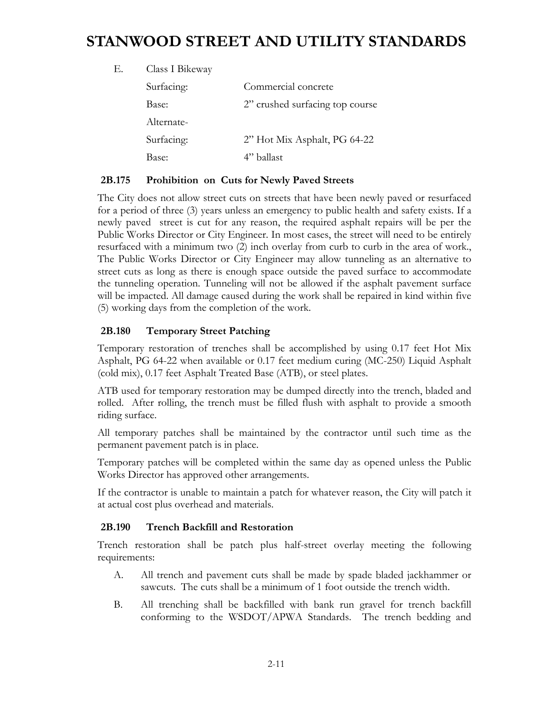| Е. | Class I Bikeway |                                 |
|----|-----------------|---------------------------------|
|    | Surfacing:      | Commercial concrete             |
|    | Base:           | 2" crushed surfacing top course |
|    | Alternate-      |                                 |
|    | Surfacing:      | 2" Hot Mix Asphalt, PG 64-22    |
|    | Base:           | 4" ballast                      |

#### **2B.175 Prohibition on Cuts for Newly Paved Streets**

The City does not allow street cuts on streets that have been newly paved or resurfaced for a period of three (3) years unless an emergency to public health and safety exists. If a newly paved street is cut for any reason, the required asphalt repairs will be per the Public Works Director or City Engineer. In most cases, the street will need to be entirely resurfaced with a minimum two (2) inch overlay from curb to curb in the area of work., The Public Works Director or City Engineer may allow tunneling as an alternative to street cuts as long as there is enough space outside the paved surface to accommodate the tunneling operation. Tunneling will not be allowed if the asphalt pavement surface will be impacted. All damage caused during the work shall be repaired in kind within five (5) working days from the completion of the work.

#### **2B.180 Temporary Street Patching**

Temporary restoration of trenches shall be accomplished by using 0.17 feet Hot Mix Asphalt, PG 64-22 when available or 0.17 feet medium curing (MC-250) Liquid Asphalt (cold mix), 0.17 feet Asphalt Treated Base (ATB), or steel plates.

ATB used for temporary restoration may be dumped directly into the trench, bladed and rolled. After rolling, the trench must be filled flush with asphalt to provide a smooth riding surface.

All temporary patches shall be maintained by the contractor until such time as the permanent pavement patch is in place.

Temporary patches will be completed within the same day as opened unless the Public Works Director has approved other arrangements.

If the contractor is unable to maintain a patch for whatever reason, the City will patch it at actual cost plus overhead and materials.

#### **2B.190 Trench Backfill and Restoration**

Trench restoration shall be patch plus half-street overlay meeting the following requirements:

- A. All trench and pavement cuts shall be made by spade bladed jackhammer or sawcuts. The cuts shall be a minimum of 1 foot outside the trench width.
- B. All trenching shall be backfilled with bank run gravel for trench backfill conforming to the WSDOT/APWA Standards. The trench bedding and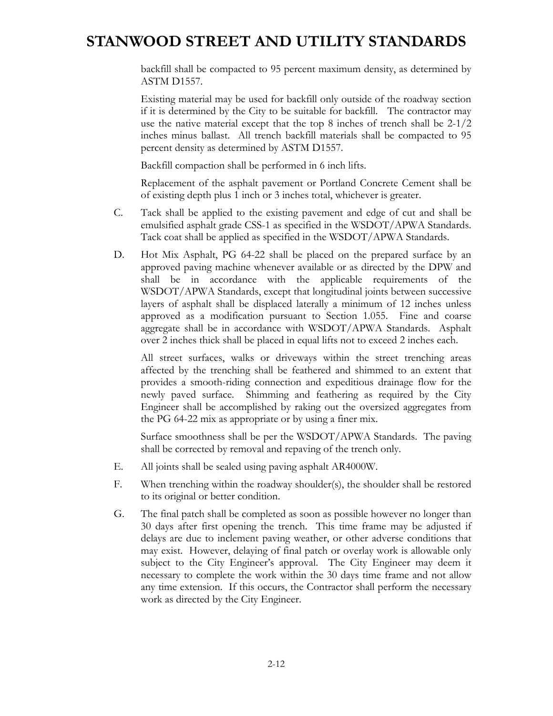backfill shall be compacted to 95 percent maximum density, as determined by ASTM D1557.

Existing material may be used for backfill only outside of the roadway section if it is determined by the City to be suitable for backfill. The contractor may use the native material except that the top 8 inches of trench shall be 2-1/2 inches minus ballast. All trench backfill materials shall be compacted to 95 percent density as determined by ASTM D1557.

Backfill compaction shall be performed in 6 inch lifts.

Replacement of the asphalt pavement or Portland Concrete Cement shall be of existing depth plus 1 inch or 3 inches total, whichever is greater.

- C. Tack shall be applied to the existing pavement and edge of cut and shall be emulsified asphalt grade CSS-1 as specified in the WSDOT/APWA Standards. Tack coat shall be applied as specified in the WSDOT/APWA Standards.
- D. Hot Mix Asphalt, PG 64-22 shall be placed on the prepared surface by an approved paving machine whenever available or as directed by the DPW and shall be in accordance with the applicable requirements of the WSDOT/APWA Standards, except that longitudinal joints between successive layers of asphalt shall be displaced laterally a minimum of 12 inches unless approved as a modification pursuant to Section 1.055. Fine and coarse aggregate shall be in accordance with WSDOT/APWA Standards. Asphalt over 2 inches thick shall be placed in equal lifts not to exceed 2 inches each.

 All street surfaces, walks or driveways within the street trenching areas affected by the trenching shall be feathered and shimmed to an extent that provides a smooth-riding connection and expeditious drainage flow for the newly paved surface. Shimming and feathering as required by the City Engineer shall be accomplished by raking out the oversized aggregates from the PG 64-22 mix as appropriate or by using a finer mix.

 Surface smoothness shall be per the WSDOT/APWA Standards. The paving shall be corrected by removal and repaving of the trench only.

- E. All joints shall be sealed using paving asphalt AR4000W.
- F. When trenching within the roadway shoulder(s), the shoulder shall be restored to its original or better condition.
- G. The final patch shall be completed as soon as possible however no longer than 30 days after first opening the trench. This time frame may be adjusted if delays are due to inclement paving weather, or other adverse conditions that may exist. However, delaying of final patch or overlay work is allowable only subject to the City Engineer's approval. The City Engineer may deem it necessary to complete the work within the 30 days time frame and not allow any time extension. If this occurs, the Contractor shall perform the necessary work as directed by the City Engineer.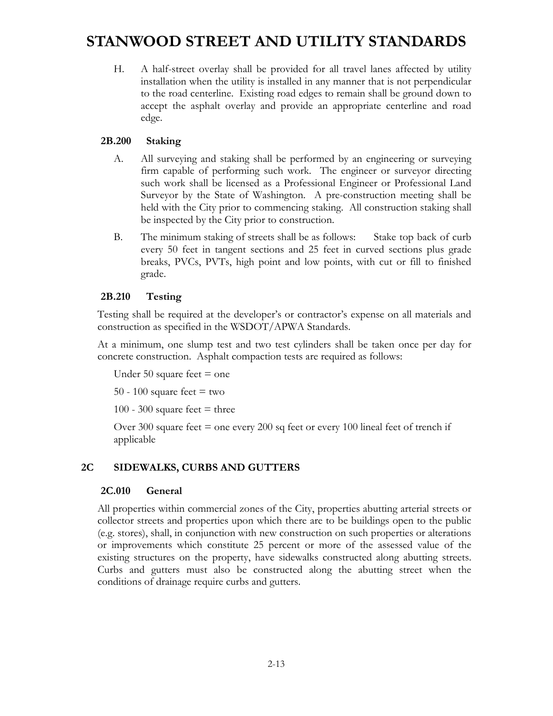H. A half-street overlay shall be provided for all travel lanes affected by utility installation when the utility is installed in any manner that is not perpendicular to the road centerline. Existing road edges to remain shall be ground down to accept the asphalt overlay and provide an appropriate centerline and road edge.

#### **2B.200 Staking**

- A. All surveying and staking shall be performed by an engineering or surveying firm capable of performing such work. The engineer or surveyor directing such work shall be licensed as a Professional Engineer or Professional Land Surveyor by the State of Washington. A pre-construction meeting shall be held with the City prior to commencing staking. All construction staking shall be inspected by the City prior to construction.
- B. The minimum staking of streets shall be as follows: Stake top back of curb every 50 feet in tangent sections and 25 feet in curved sections plus grade breaks, PVCs, PVTs, high point and low points, with cut or fill to finished grade.

#### **2B.210 Testing**

Testing shall be required at the developer's or contractor's expense on all materials and construction as specified in the WSDOT/APWA Standards.

At a minimum, one slump test and two test cylinders shall be taken once per day for concrete construction. Asphalt compaction tests are required as follows:

Under 50 square feet  $=$  one

50 - 100 square feet  $=$  two

100 - 300 square feet  $=$  three

Over 300 square feet  $=$  one every 200 sq feet or every 100 lineal feet of trench if applicable

#### **2C SIDEWALKS, CURBS AND GUTTERS**

#### **2C.010 General**

All properties within commercial zones of the City, properties abutting arterial streets or collector streets and properties upon which there are to be buildings open to the public (e.g. stores), shall, in conjunction with new construction on such properties or alterations or improvements which constitute 25 percent or more of the assessed value of the existing structures on the property, have sidewalks constructed along abutting streets. Curbs and gutters must also be constructed along the abutting street when the conditions of drainage require curbs and gutters.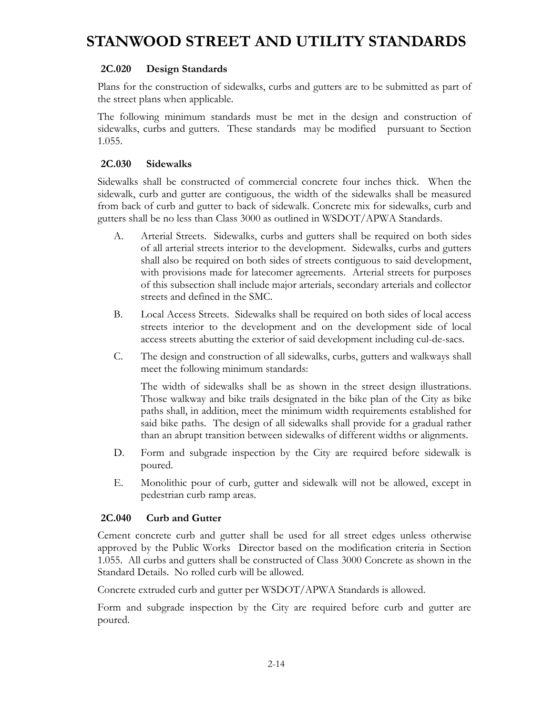#### **2C.020 Design Standards**

Plans for the construction of sidewalks, curbs and gutters are to be submitted as part of the street plans when applicable.

The following minimum standards must be met in the design and construction of sidewalks, curbs and gutters. These standards may be modified pursuant to Section 1.055.

#### **2C.030 Sidewalks**

Sidewalks shall be constructed of commercial concrete four inches thick. When the sidewalk, curb and gutter are contiguous, the width of the sidewalks shall be measured from back of curb and gutter to back of sidewalk. Concrete mix for sidewalks, curb and gutters shall be no less than Class 3000 as outlined in WSDOT/APWA Standards.

- A. Arterial Streets. Sidewalks, curbs and gutters shall be required on both sides of all arterial streets interior to the development. Sidewalks, curbs and gutters shall also be required on both sides of streets contiguous to said development, with provisions made for latecomer agreements. Arterial streets for purposes of this subsection shall include major arterials, secondary arterials and collector streets and defined in the SMC.
- B. Local Access Streets. Sidewalks shall be required on both sides of local access streets interior to the development and on the development side of local access streets abutting the exterior of said development including cul-de-sacs.
- C. The design and construction of all sidewalks, curbs, gutters and walkways shall meet the following minimum standards:

 The width of sidewalks shall be as shown in the street design illustrations. Those walkway and bike trails designated in the bike plan of the City as bike paths shall, in addition, meet the minimum width requirements established for said bike paths. The design of all sidewalks shall provide for a gradual rather than an abrupt transition between sidewalks of different widths or alignments.

- D. Form and subgrade inspection by the City are required before sidewalk is poured.
- E. Monolithic pour of curb, gutter and sidewalk will not be allowed, except in pedestrian curb ramp areas.

#### **2C.040 Curb and Gutter**

Cement concrete curb and gutter shall be used for all street edges unless otherwise approved by the Public Works Director based on the modification criteria in Section 1.055. All curbs and gutters shall be constructed of Class 3000 Concrete as shown in the Standard Details. No rolled curb will be allowed.

Concrete extruded curb and gutter per WSDOT/APWA Standards is allowed.

Form and subgrade inspection by the City are required before curb and gutter are poured.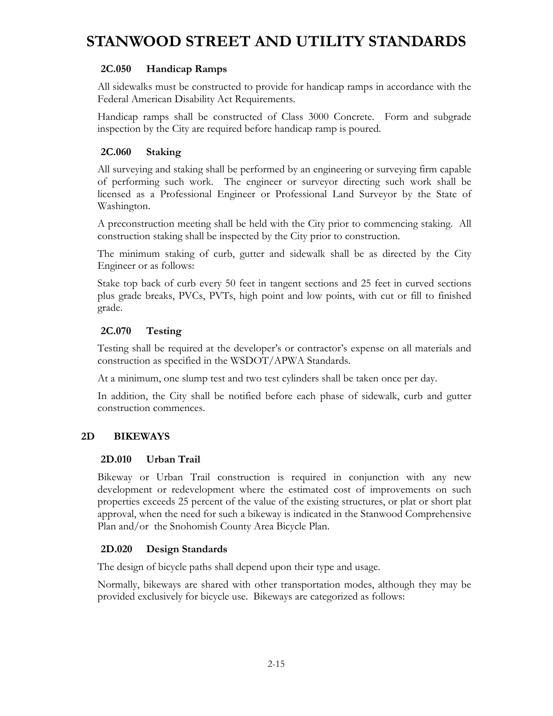#### **2C.050 Handicap Ramps**

All sidewalks must be constructed to provide for handicap ramps in accordance with the Federal American Disability Act Requirements.

Handicap ramps shall be constructed of Class 3000 Concrete. Form and subgrade inspection by the City are required before handicap ramp is poured.

#### **2C.060 Staking**

All surveying and staking shall be performed by an engineering or surveying firm capable of performing such work. The engineer or surveyor directing such work shall be licensed as a Professional Engineer or Professional Land Surveyor by the State of Washington.

A preconstruction meeting shall be held with the City prior to commencing staking. All construction staking shall be inspected by the City prior to construction.

The minimum staking of curb, gutter and sidewalk shall be as directed by the City Engineer or as follows:

Stake top back of curb every 50 feet in tangent sections and 25 feet in curved sections plus grade breaks, PVCs, PVTs, high point and low points, with cut or fill to finished grade.

#### **2C.070 Testing**

Testing shall be required at the developer's or contractor's expense on all materials and construction as specified in the WSDOT/APWA Standards.

At a minimum, one slump test and two test cylinders shall be taken once per day.

In addition, the City shall be notified before each phase of sidewalk, curb and gutter construction commences.

#### **2D BIKEWAYS**

#### **2D.010 Urban Trail**

Bikeway or Urban Trail construction is required in conjunction with any new development or redevelopment where the estimated cost of improvements on such properties exceeds 25 percent of the value of the existing structures, or plat or short plat approval, when the need for such a bikeway is indicated in the Stanwood Comprehensive Plan and/or the Snohomish County Area Bicycle Plan.

#### **2D.020 Design Standards**

The design of bicycle paths shall depend upon their type and usage.

Normally, bikeways are shared with other transportation modes, although they may be provided exclusively for bicycle use. Bikeways are categorized as follows: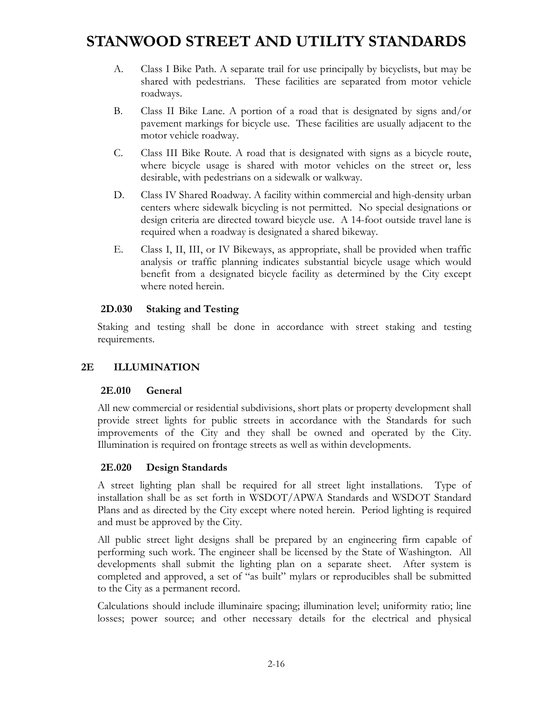- A. Class I Bike Path. A separate trail for use principally by bicyclists, but may be shared with pedestrians. These facilities are separated from motor vehicle roadways.
- B. Class II Bike Lane. A portion of a road that is designated by signs and/or pavement markings for bicycle use. These facilities are usually adjacent to the motor vehicle roadway.
- C. Class III Bike Route. A road that is designated with signs as a bicycle route, where bicycle usage is shared with motor vehicles on the street or, less desirable, with pedestrians on a sidewalk or walkway.
- D. Class IV Shared Roadway. A facility within commercial and high-density urban centers where sidewalk bicycling is not permitted. No special designations or design criteria are directed toward bicycle use. A 14-foot outside travel lane is required when a roadway is designated a shared bikeway.
- E. Class I, II, III, or IV Bikeways, as appropriate, shall be provided when traffic analysis or traffic planning indicates substantial bicycle usage which would benefit from a designated bicycle facility as determined by the City except where noted herein.

#### **2D.030 Staking and Testing**

Staking and testing shall be done in accordance with street staking and testing requirements.

#### **2E ILLUMINATION**

#### **2E.010 General**

All new commercial or residential subdivisions, short plats or property development shall provide street lights for public streets in accordance with the Standards for such improvements of the City and they shall be owned and operated by the City. Illumination is required on frontage streets as well as within developments.

#### **2E.020 Design Standards**

A street lighting plan shall be required for all street light installations. Type of installation shall be as set forth in WSDOT/APWA Standards and WSDOT Standard Plans and as directed by the City except where noted herein. Period lighting is required and must be approved by the City.

All public street light designs shall be prepared by an engineering firm capable of performing such work. The engineer shall be licensed by the State of Washington. All developments shall submit the lighting plan on a separate sheet. After system is completed and approved, a set of "as built" mylars or reproducibles shall be submitted to the City as a permanent record.

Calculations should include illuminaire spacing; illumination level; uniformity ratio; line losses; power source; and other necessary details for the electrical and physical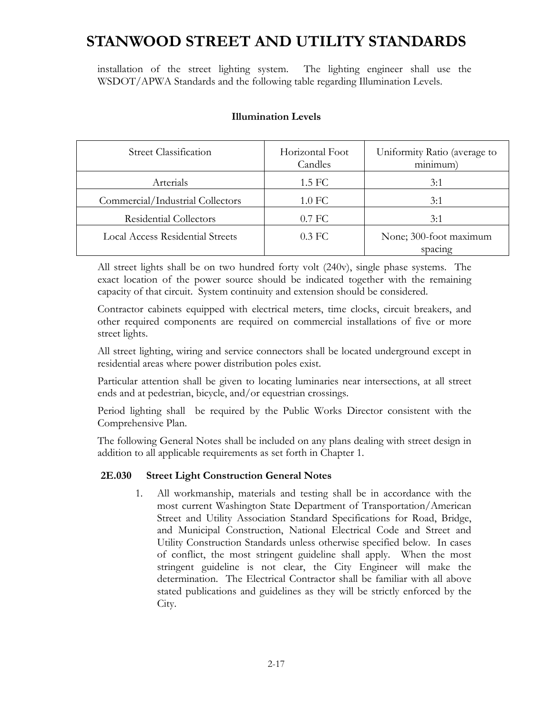installation of the street lighting system. The lighting engineer shall use the WSDOT/APWA Standards and the following table regarding Illumination Levels.

| <b>Street Classification</b>            | Horizontal Foot<br>Candles | Uniformity Ratio (average to<br>minimum) |
|-----------------------------------------|----------------------------|------------------------------------------|
| Arterials                               | $1.5 \,\mathrm{FC}$        | 3:1                                      |
| Commercial/Industrial Collectors        | 1.0 FC                     | 3:1                                      |
| <b>Residential Collectors</b>           | $0.7$ FC                   | 3:1                                      |
| <b>Local Access Residential Streets</b> | $0.3$ FC                   | None; 300-foot maximum<br>spacing        |

#### **Illumination Levels**

All street lights shall be on two hundred forty volt (240v), single phase systems. The exact location of the power source should be indicated together with the remaining capacity of that circuit. System continuity and extension should be considered.

Contractor cabinets equipped with electrical meters, time clocks, circuit breakers, and other required components are required on commercial installations of five or more street lights.

All street lighting, wiring and service connectors shall be located underground except in residential areas where power distribution poles exist.

Particular attention shall be given to locating luminaries near intersections, at all street ends and at pedestrian, bicycle, and/or equestrian crossings.

Period lighting shall be required by the Public Works Director consistent with the Comprehensive Plan.

The following General Notes shall be included on any plans dealing with street design in addition to all applicable requirements as set forth in Chapter 1.

#### **2E.030 Street Light Construction General Notes**

1. All workmanship, materials and testing shall be in accordance with the most current Washington State Department of Transportation/American Street and Utility Association Standard Specifications for Road, Bridge, and Municipal Construction, National Electrical Code and Street and Utility Construction Standards unless otherwise specified below. In cases of conflict, the most stringent guideline shall apply. When the most stringent guideline is not clear, the City Engineer will make the determination. The Electrical Contractor shall be familiar with all above stated publications and guidelines as they will be strictly enforced by the City.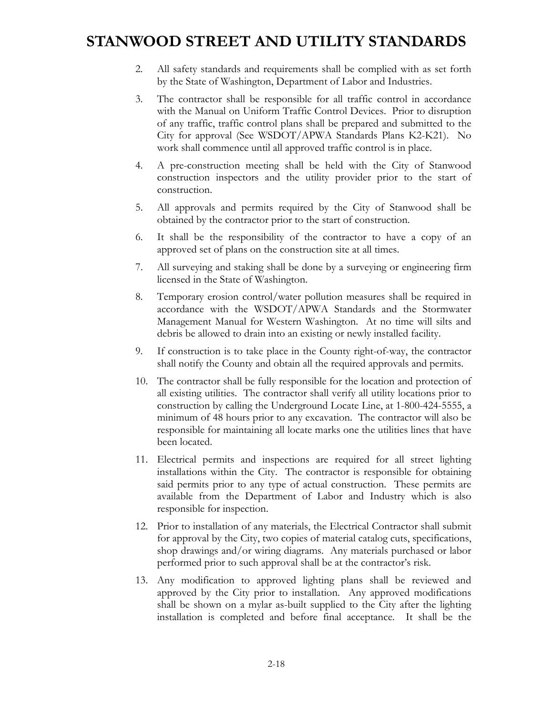- 2. All safety standards and requirements shall be complied with as set forth by the State of Washington, Department of Labor and Industries.
- 3. The contractor shall be responsible for all traffic control in accordance with the Manual on Uniform Traffic Control Devices. Prior to disruption of any traffic, traffic control plans shall be prepared and submitted to the City for approval (See WSDOT/APWA Standards Plans K2-K21). No work shall commence until all approved traffic control is in place.
- 4. A pre-construction meeting shall be held with the City of Stanwood construction inspectors and the utility provider prior to the start of construction.
- 5. All approvals and permits required by the City of Stanwood shall be obtained by the contractor prior to the start of construction.
- 6. It shall be the responsibility of the contractor to have a copy of an approved set of plans on the construction site at all times.
- 7. All surveying and staking shall be done by a surveying or engineering firm licensed in the State of Washington.
- 8. Temporary erosion control/water pollution measures shall be required in accordance with the WSDOT/APWA Standards and the Stormwater Management Manual for Western Washington. At no time will silts and debris be allowed to drain into an existing or newly installed facility.
- 9. If construction is to take place in the County right-of-way, the contractor shall notify the County and obtain all the required approvals and permits.
- 10. The contractor shall be fully responsible for the location and protection of all existing utilities. The contractor shall verify all utility locations prior to construction by calling the Underground Locate Line, at 1-800-424-5555, a minimum of 48 hours prior to any excavation. The contractor will also be responsible for maintaining all locate marks one the utilities lines that have been located.
- 11. Electrical permits and inspections are required for all street lighting installations within the City. The contractor is responsible for obtaining said permits prior to any type of actual construction. These permits are available from the Department of Labor and Industry which is also responsible for inspection.
- 12. Prior to installation of any materials, the Electrical Contractor shall submit for approval by the City, two copies of material catalog cuts, specifications, shop drawings and/or wiring diagrams. Any materials purchased or labor performed prior to such approval shall be at the contractor's risk.
- 13. Any modification to approved lighting plans shall be reviewed and approved by the City prior to installation. Any approved modifications shall be shown on a mylar as-built supplied to the City after the lighting installation is completed and before final acceptance. It shall be the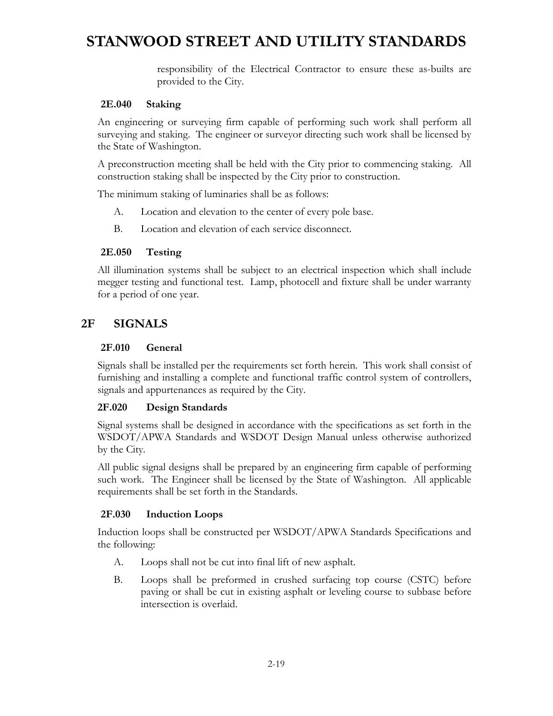responsibility of the Electrical Contractor to ensure these as-builts are provided to the City.

#### **2E.040 Staking**

An engineering or surveying firm capable of performing such work shall perform all surveying and staking. The engineer or surveyor directing such work shall be licensed by the State of Washington.

A preconstruction meeting shall be held with the City prior to commencing staking. All construction staking shall be inspected by the City prior to construction.

The minimum staking of luminaries shall be as follows:

- A. Location and elevation to the center of every pole base.
- B. Location and elevation of each service disconnect.

#### **2E.050 Testing**

All illumination systems shall be subject to an electrical inspection which shall include megger testing and functional test. Lamp, photocell and fixture shall be under warranty for a period of one year.

#### **2F SIGNALS**

#### **2F.010 General**

Signals shall be installed per the requirements set forth herein. This work shall consist of furnishing and installing a complete and functional traffic control system of controllers, signals and appurtenances as required by the City.

#### **2F.020 Design Standards**

Signal systems shall be designed in accordance with the specifications as set forth in the WSDOT/APWA Standards and WSDOT Design Manual unless otherwise authorized by the City.

All public signal designs shall be prepared by an engineering firm capable of performing such work. The Engineer shall be licensed by the State of Washington. All applicable requirements shall be set forth in the Standards.

#### **2F.030 Induction Loops**

Induction loops shall be constructed per WSDOT/APWA Standards Specifications and the following:

- A. Loops shall not be cut into final lift of new asphalt.
- B. Loops shall be preformed in crushed surfacing top course (CSTC) before paving or shall be cut in existing asphalt or leveling course to subbase before intersection is overlaid.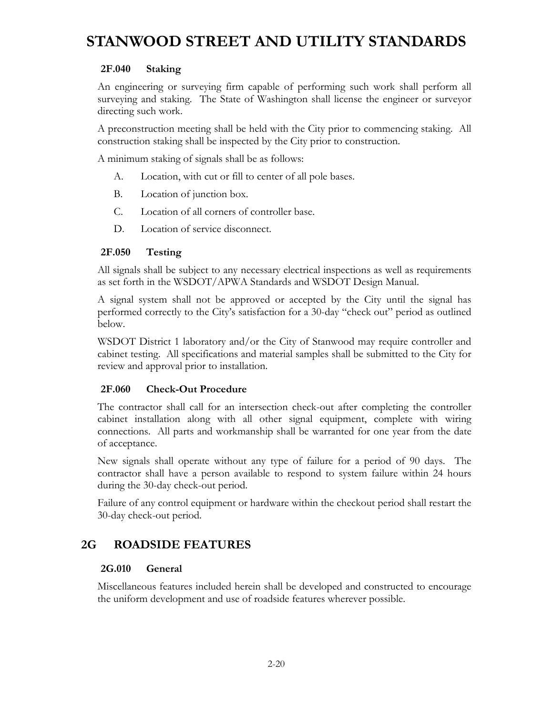#### **2F.040 Staking**

An engineering or surveying firm capable of performing such work shall perform all surveying and staking. The State of Washington shall license the engineer or surveyor directing such work.

A preconstruction meeting shall be held with the City prior to commencing staking. All construction staking shall be inspected by the City prior to construction.

A minimum staking of signals shall be as follows:

- A. Location, with cut or fill to center of all pole bases.
- B. Location of junction box.
- C. Location of all corners of controller base.
- D. Location of service disconnect.

#### **2F.050 Testing**

All signals shall be subject to any necessary electrical inspections as well as requirements as set forth in the WSDOT/APWA Standards and WSDOT Design Manual.

A signal system shall not be approved or accepted by the City until the signal has performed correctly to the City's satisfaction for a 30-day "check out" period as outlined below.

WSDOT District 1 laboratory and/or the City of Stanwood may require controller and cabinet testing. All specifications and material samples shall be submitted to the City for review and approval prior to installation.

#### **2F.060 Check-Out Procedure**

The contractor shall call for an intersection check-out after completing the controller cabinet installation along with all other signal equipment, complete with wiring connections. All parts and workmanship shall be warranted for one year from the date of acceptance.

New signals shall operate without any type of failure for a period of 90 days. The contractor shall have a person available to respond to system failure within 24 hours during the 30-day check-out period.

Failure of any control equipment or hardware within the checkout period shall restart the 30-day check-out period.

### **2G ROADSIDE FEATURES**

#### **2G.010 General**

Miscellaneous features included herein shall be developed and constructed to encourage the uniform development and use of roadside features wherever possible.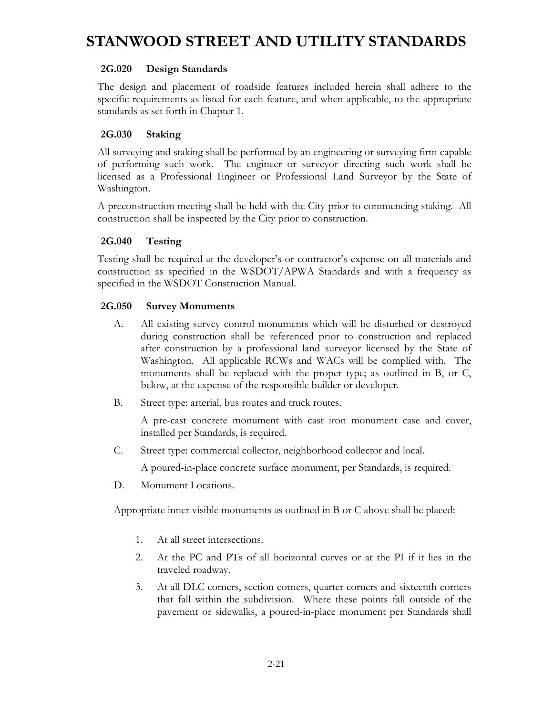#### **2G.020 Design Standards**

The design and placement of roadside features included herein shall adhere to the specific requirements as listed for each feature, and when applicable, to the appropriate standards as set forth in Chapter 1.

#### **2G.030 Staking**

All surveying and staking shall be performed by an engineering or surveying firm capable of performing such work. The engineer or surveyor directing such work shall be licensed as a Professional Engineer or Professional Land Surveyor by the State of Washington.

A preconstruction meeting shall be held with the City prior to commencing staking. All construction shall be inspected by the City prior to construction.

#### **2G.040 Testing**

Testing shall be required at the developer's or contractor's expense on all materials and construction as specified in the WSDOT/APWA Standards and with a frequency as specified in the WSDOT Construction Manual.

#### **2G.050 Survey Monuments**

- A. All existing survey control monuments which will be disturbed or destroyed during construction shall be referenced prior to construction and replaced after construction by a professional land surveyor licensed by the State of Washington. All applicable RCWs and WACs will be complied with. The monuments shall be replaced with the proper type; as outlined in B, or C, below, at the expense of the responsible builder or developer.
- B. Street type: arterial, bus routes and truck routes.

 A pre-cast concrete monument with cast iron monument case and cover, installed per Standards, is required.

C. Street type: commercial collector, neighborhood collector and local.

A poured-in-place concrete surface monument, per Standards, is required.

D. Monument Locations.

Appropriate inner visible monuments as outlined in B or C above shall be placed:

- 1. At all street intersections.
- 2. At the PC and PTs of all horizontal curves or at the PI if it lies in the traveled roadway.
- 3. At all DLC corners, section corners, quarter corners and sixteenth corners that fall within the subdivision. Where these points fall outside of the pavement or sidewalks, a poured-in-place monument per Standards shall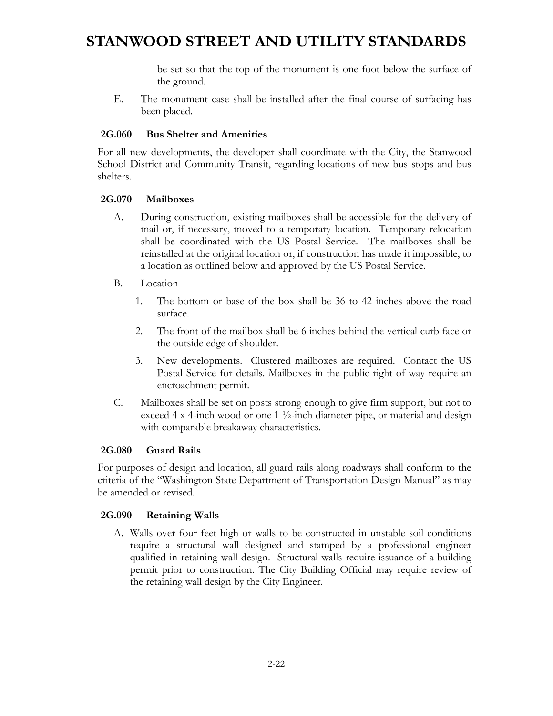be set so that the top of the monument is one foot below the surface of the ground.

E. The monument case shall be installed after the final course of surfacing has been placed.

#### **2G.060 Bus Shelter and Amenities**

For all new developments, the developer shall coordinate with the City, the Stanwood School District and Community Transit, regarding locations of new bus stops and bus shelters.

#### **2G.070 Mailboxes**

- A. During construction, existing mailboxes shall be accessible for the delivery of mail or, if necessary, moved to a temporary location. Temporary relocation shall be coordinated with the US Postal Service. The mailboxes shall be reinstalled at the original location or, if construction has made it impossible, to a location as outlined below and approved by the US Postal Service.
- B. Location
	- 1. The bottom or base of the box shall be 36 to 42 inches above the road surface.
	- 2. The front of the mailbox shall be 6 inches behind the vertical curb face or the outside edge of shoulder.
	- 3. New developments. Clustered mailboxes are required. Contact the US Postal Service for details. Mailboxes in the public right of way require an encroachment permit.
- C. Mailboxes shall be set on posts strong enough to give firm support, but not to exceed 4 x 4-inch wood or one 1  $\frac{1}{2}$ -inch diameter pipe, or material and design with comparable breakaway characteristics.

#### **2G.080 Guard Rails**

For purposes of design and location, all guard rails along roadways shall conform to the criteria of the "Washington State Department of Transportation Design Manual" as may be amended or revised.

#### **2G.090 Retaining Walls**

A. Walls over four feet high or walls to be constructed in unstable soil conditions require a structural wall designed and stamped by a professional engineer qualified in retaining wall design. Structural walls require issuance of a building permit prior to construction. The City Building Official may require review of the retaining wall design by the City Engineer.